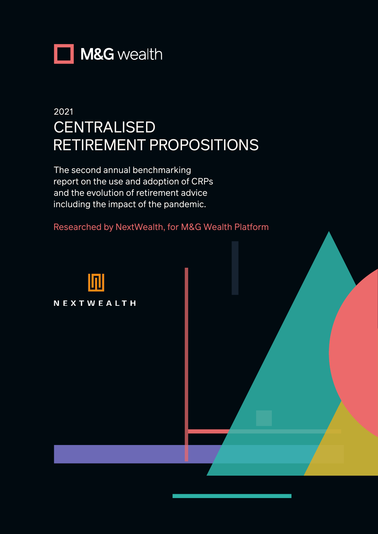

## 2021 **CENTRALISED** RETIREMENT PROPOSITIONS

 The second annual benchmarking report on the use and adoption of CRPs and the evolution of retirement advice including the impact of the pandemic.

Researched by NextWealth, for M&G Wealth Platform



**NEXTWEALTH**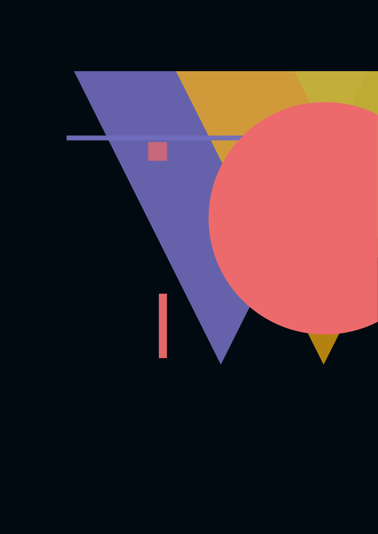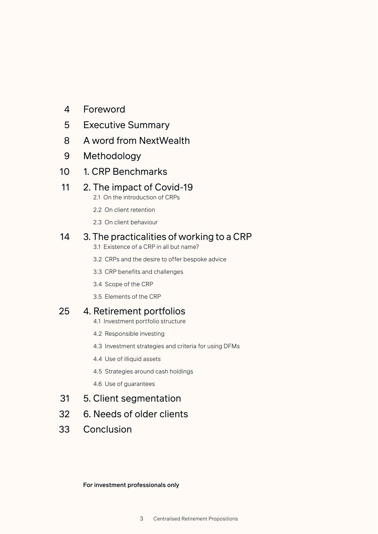- 4 Foreword
- 5 Executive Summary
- 8 A word from NextWealth
- 9 Methodology
- 10 1. CRP Benchmarks

### 11 2. The impact of Covid-19

- 2.1 On the introduction of CRPs
- 2.2 On client retention
- 2.3 On client behaviour

### 14 3. The practicalities of working to a CRP

- 3.1 Existence of a CRP in all but name?
- 3.2 CRPs and the desire to offer bespoke advice
- 3.3 CRP benefits and challenges
- 3.4 Scope of the CRP
- 3.5 Elements of the CRP

### 25 4. Retirement portfolios

- 4.1 Investment portfolio structure
- 4.2 Responsible investing
- 4.3 Investment strategies and criteria for using DFMs
- 4.4 Use of illiquid assets
- 4.5 Strategies around cash holdings
- 4.6 Use of guarantees
- 31 5. Client segmentation
- 32 6. Needs of older clients
- 33 Conclusion

For investment professionals only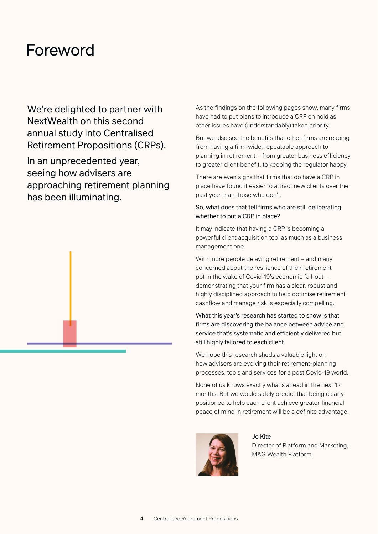## <span id="page-3-0"></span>Foreword

We're delighted to partner with NextWealth on this second annual study into Centralised Retirement Propositions (CRPs).

In an unprecedented year, seeing how advisers are approaching retirement planning has been illuminating.

As the findings on the following pages show, many firms have had to put plans to introduce a CRP on hold as other issues have (understandably) taken priority.

But we also see the benefits that other firms are reaping from having a firm-wide, repeatable approach to planning in retirement – from greater business efficiency to greater client benefit, to keeping the regulator happy.

There are even signs that firms that do have a CRP in place have found it easier to attract new clients over the past year than those who don't.

#### So, what does that tell firms who are still deliberating whether to put a CRP in place?

It may indicate that having a CRP is becoming a powerful client acquisition tool as much as a business management one.

With more people delaying retirement – and many concerned about the resilience of their retirement pot in the wake of Covid-19's economic fall-out – demonstrating that your firm has a clear, robust and highly disciplined approach to help optimise retirement cashflow and manage risk is especially compelling.

What this year's research has started to show is that firms are discovering the balance between advice and service that's systematic and efficiently delivered but still highly tailored to each client.

We hope this research sheds a valuable light on how advisers are evolving their retirement-planning processes, tools and services for a post Covid-19 world.

None of us knows exactly what's ahead in the next 12 months. But we would safely predict that being clearly positioned to help each client achieve greater financial peace of mind in retirement will be a definite advantage.



Jo Kite

Director of Platform and Marketing, M&G Wealth Platform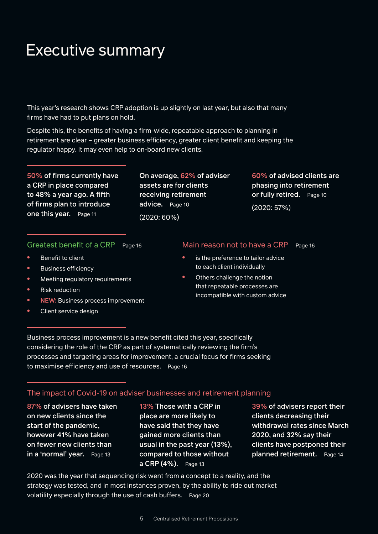## <span id="page-4-0"></span>Executive summary

This year's research shows CRP adoption is up slightly on last year, but also that many firms have had to put plans on hold.

Despite this, the benefits of having a firm-wide, repeatable approach to planning in retirement are clear – greater business efficiency, greater client benefit and keeping the regulator happy. It may even help to on-board new clients.

50% of firms currently have a CRP in place compared to 48% a year ago. A fifth of firms plan to introduce one this year. Page 11

On average, 62% of adviser assets are for clients receiving retirement advice. Page 10 (2020: 60%)

60% of advised clients are phasing into retirement or fully retired. Page 10 (2020: 57%)

#### Greatest benefit of a CRP Page 16

- Benefit to client
- **•** Business efficiency
- Meeting regulatory requirements
- Risk reduction
- NEW: Business process improvement
- Client service design

#### Main reason not to have a CRP Page 16

- is the preference to tailor advice to each client individually
- Others challenge the notion that repeatable processes are incompatible with custom advice

Business process improvement is a new benefit cited this year, specifically considering the role of the CRP as part of systematically reviewing the firm's processes and targeting areas for improvement, a crucial focus for firms seeking to maximise efficiency and use of resources. Page 16

#### The impact of Covid-19 on adviser businesses and retirement planning

87% of advisers have taken on new clients since the start of the pandemic, however 41% have taken on fewer new clients than in a 'normal' year. Page 13

13% Those with a CRP in place are more likely to have said that they have gained more clients than usual in the past year (13%), compared to those without a CRP (4%). Page 13

39% of advisers report their clients decreasing their withdrawal rates since March 2020, and 32% say their clients have postponed their planned retirement. Page 14

2020 was the year that sequencing risk went from a concept to a reality, and the strategy was tested, and in most instances proven, by the ability to ride out market volatility especially through the use of cash buffers. Page 20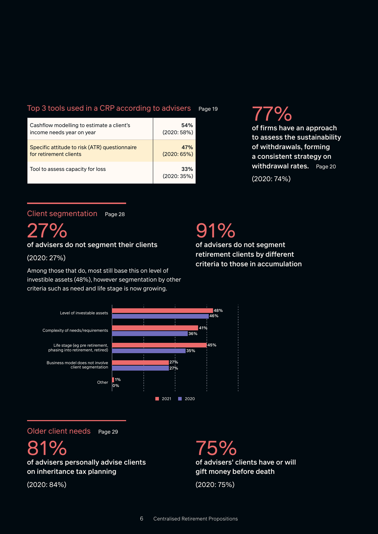#### Top 3 tools used in a CRP according to advisers Page 19

| Cashflow modelling to estimate a client's     | 54%               |
|-----------------------------------------------|-------------------|
| income needs year on year                     | (2020:58%)        |
| Specific attitude to risk (ATR) questionnaire | 47%               |
| for retirement clients                        | (2020:65%)        |
| Tool to assess capacity for loss              | 33%<br>(2020:35%) |

# 77%

of firms have an approach to assess the sustainability of withdrawals, forming a consistent strategy on withdrawal rates. Page 20

(2020: 74%)

### Client segmentation Page 28

## 27% of advisers do not segment their clients

(2020: 27%)

Among those that do, most still base this on level of investible assets (48%), however segmentation by other criteria such as need and life stage is now growing.

## 91%

of advisers do not segment retirement clients by different criteria to those in accumulation



Older client needs Page 29

81% of advisers personally advise clients

on inheritance tax planning

(2020: 84%)

## 75% of advisers' clients have or will gift money before death

(2020: 75%)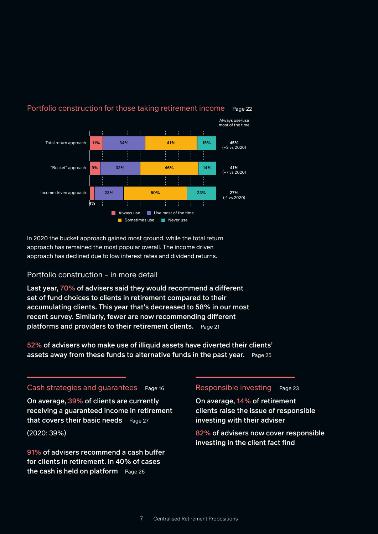

### Portfolio construction for those taking retirement income Page 22

In 2020 the bucket approach gained most ground, while the total return approach has remained the most popular overall. The income driven approach has declined due to low interest rates and dividend returns.

### Portfolio construction – in more detail

Last year, 70% of advisers said they would recommend a different set of fund choices to clients in retirement compared to their accumulating clients. This year that's decreased to 58% in our most recent survey. Similarly, fewer are now recommending different platforms and providers to their retirement clients. Page 21

52% of advisers who make use of illiquid assets have diverted their clients' assets away from these funds to alternative funds in the past year. Page 25

### Cash strategies and guarantees Page 16

On average, 39% of clients are currently receiving a guaranteed income in retirement that covers their basic needs Page 27

(2020: 39%)

91% of advisers recommend a cash buffer for clients in retirement. In 40% of cases the cash is held on platform Page 26

### Responsible investing Page 23

On average, 14% of retirement clients raise the issue of responsible investing with their adviser

82% of advisers now cover responsible investing in the client fact find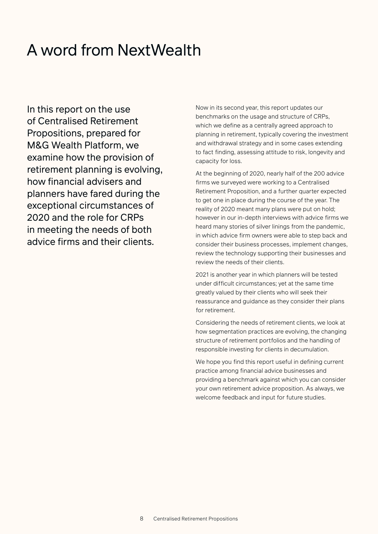## <span id="page-7-0"></span>A word from NextWealth

In this report on the use of Centralised Retirement Propositions, prepared for M&G Wealth Platform, we examine how the provision of retirement planning is evolving, how financial advisers and planners have fared during the exceptional circumstances of 2020 and the role for CRPs in meeting the needs of both advice firms and their clients.

Now in its second year, this report updates our benchmarks on the usage and structure of CRPs, which we define as a centrally agreed approach to planning in retirement, typically covering the investment and withdrawal strategy and in some cases extending to fact finding, assessing attitude to risk, longevity and capacity for loss.

At the beginning of 2020, nearly half of the 200 advice firms we surveyed were working to a Centralised Retirement Proposition, and a further quarter expected to get one in place during the course of the year. The reality of 2020 meant many plans were put on hold; however in our in-depth interviews with advice firms we heard many stories of silver linings from the pandemic, in which advice firm owners were able to step back and consider their business processes, implement changes, review the technology supporting their businesses and review the needs of their clients.

2021 is another year in which planners will be tested under difficult circumstances; yet at the same time greatly valued by their clients who will seek their reassurance and guidance as they consider their plans for retirement.

Considering the needs of retirement clients, we look at how segmentation practices are evolving, the changing structure of retirement portfolios and the handling of responsible investing for clients in decumulation.

We hope you find this report useful in defining current practice among financial advice businesses and providing a benchmark against which you can consider your own retirement advice proposition. As always, we welcome feedback and input for future studies.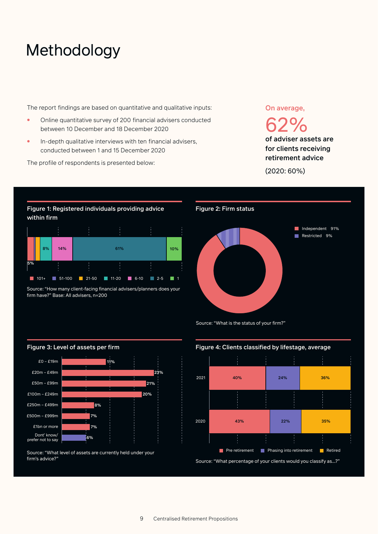## <span id="page-8-0"></span>Methodology

The report findings are based on quantitative and qualitative inputs:

- Online quantitative survey of 200 financial advisers conducted between 10 December and 18 December 2020
- **•** In-depth qualitative interviews with ten financial advisers, conducted between 1 and 15 December 2020

The profile of respondents is presented below:

Figure 1: Registered individuals providing advice

8% 14% and 14% and 14% and 14% and 14% and 14% and 14% and 14% and 14% and 14% and 14% and 14% and 14% and 14%

within firm

5%

On average,

62% of adviser assets are for clients receiving retirement advice

(2020: 60%)



Source: "What is the status of your firm?"

#### Figure 3: Level of assets per firm Figure 4: Clients classified by lifestage, average



Source: "What percentage of your clients would you classify as...?"

firm have?" Base: All advisers, n=200



Source: "What level of assets are currently held under your firm's advice?"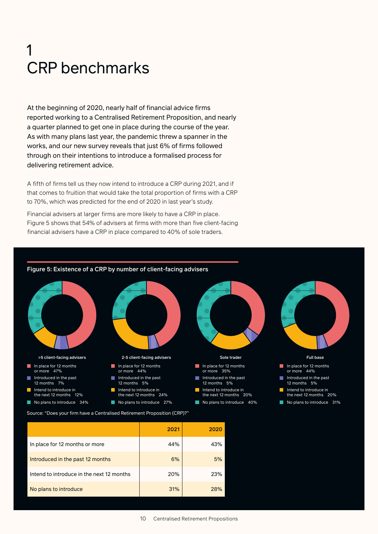## <span id="page-9-0"></span> 1 CRP benchmarks

At the beginning of 2020, nearly half of financial advice firms reported working to a Centralised Retirement Proposition, and nearly a quarter planned to get one in place during the course of the year. As with many plans last year, the pandemic threw a spanner in the works, and our new survey reveals that just 6% of firms followed through on their intentions to introduce a formalised process for delivering retirement advice.

A fifth of firms tell us they now intend to introduce a CRP during 2021, and if that comes to fruition that would take the total proportion of firms with a CRP to 70%, which was predicted for the end of 2020 in last year's study.

Financial advisers at larger firms are more likely to have a CRP in place. Figure 5 shows that 54% of advisers at firms with more than five client-facing financial advisers have a CRP in place compared to 40% of sole traders.



|                                           | 2021 | 2020 |
|-------------------------------------------|------|------|
| In place for 12 months or more            | 44%  | 43%  |
| Introduced in the past 12 months          | 6%   | 5%   |
| Intend to introduce in the next 12 months | 20%  | 23%  |
| No plans to introduce                     | 31%  | 28%  |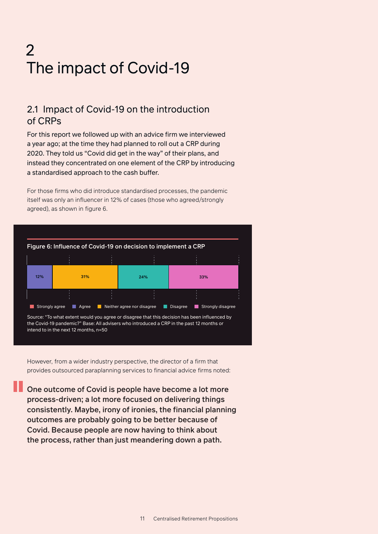## <span id="page-10-0"></span> $\overline{\mathcal{L}}$ The impact of Covid-19

## 2.1 Impact of Covid-19 on the introduction of CRPs

For this report we followed up with an advice firm we interviewed a year ago; at the time they had planned to roll out a CRP during 2020. They told us "Covid did get in the way" of their plans, and instead they concentrated on one element of the CRP by introducing a standardised approach to the cash buffer.

For those firms who did introduce standardised processes, the pandemic itself was only an influencer in 12% of cases (those who agreed/strongly agreed), as shown in figure 6.



However, from a wider industry perspective, the director of a firm that provides outsourced paraplanning services to financial advice firms noted:

One outcome of Covid is people have become a lot more process-driven; a lot more focused on delivering things consistently. Maybe, irony of ironies, the financial planning outcomes are probably going to be better because of Covid. Because people are now having to think about the process, rather than just meandering down a path. II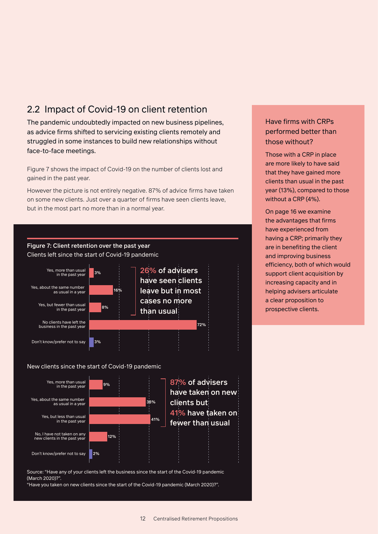## 2.2 Impact of Covid-19 on client retention

The pandemic undoubtedly impacted on new business pipelines, as advice firms shifted to servicing existing clients remotely and struggled in some instances to build new relationships without face-to-face meetings.

Figure 7 shows the impact of Covid-19 on the number of clients lost and gained in the past year.

However the picture is not entirely negative. 87% of advice firms have taken on some new clients. Just over a quarter of firms have seen clients leave, but in the most part no more than in a normal year.

### Figure 7: Client retention over the past year

Clients left since the start of Covid-19 pandemic



#### New clients since the start of Covid-19 pandemic



Source: "Have any of your clients left the business since the start of the Covid-19 pandemic (March 2020)?".

"Have you taken on new clients since the start of the Covid-19 pandemic (March 2020)?".

### Have firms with CRPs performed better than those without?

Those with a CRP in place are more likely to have said that they have gained more clients than usual in the past year (13%), compared to those without a CRP (4%).

On page 16 we examine the advantages that firms have experienced from having a CRP; primarily they are in benefiting the client and improving business efficiency, both of which would support client acquisition by increasing capacity and in helping advisers articulate a clear proposition to prospective clients.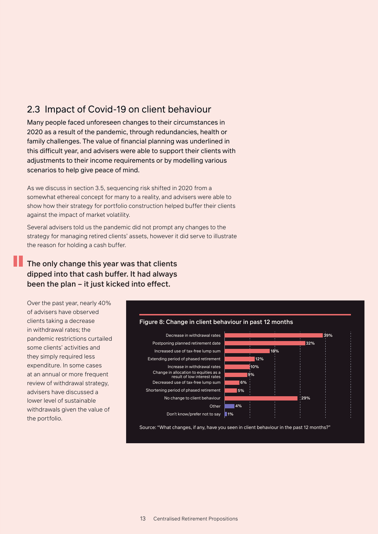## 2.3 Impact of Covid-19 on client behaviour

Many people faced unforeseen changes to their circumstances in 2020 as a result of the pandemic, through redundancies, health or family challenges. The value of financial planning was underlined in this difficult year, and advisers were able to support their clients with adjustments to their income requirements or by modelling various scenarios to help give peace of mind.

As we discuss in section 3.5, sequencing risk shifted in 2020 from a somewhat ethereal concept for many to a reality, and advisers were able to show how their strategy for portfolio construction helped buffer their clients against the impact of market volatility.

Several advisers told us the pandemic did not prompt any changes to the strategy for managing retired clients' assets, however it did serve to illustrate the reason for holding a cash buffer.

### The only change this year was that clients dipped into that cash buffer. It had always been the plan – it just kicked into effect.

Over the past year, nearly 40% of advisers have observed clients taking a decrease in withdrawal rates; the pandemic restrictions curtailed some clients' activities and they simply required less expenditure. In some cases at an annual or more frequent review of withdrawal strategy, advisers have discussed a lower level of sustainable withdrawals given the value of the portfolio.

II



Source: "What changes, if any, have you seen in client behaviour in the past 12 months?"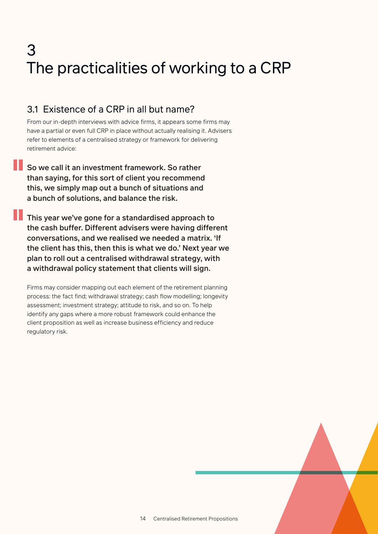## <span id="page-13-0"></span> 3 The practicalities of working to a CRP

## 3.1 Existence of a CRP in all but name?

From our in-depth interviews with advice firms, it appears some firms may have a partial or even full CRP in place without actually realising it. Advisers refer to elements of a centralised strategy or framework for delivering retirement advice:

So we call it an investment framework. So rather than saying, for this sort of client you recommend this, we simply map out a bunch of situations and a bunch of solutions, and balance the risk.  $\mathbf{\mathbf{I}}$  :

This year we've gone for a standardised approach to the cash buffer. Different advisers were having different conversations, and we realised we needed a matrix. 'If the client has this, then this is what we do.' Next year we plan to roll out a centralised withdrawal strategy, with a withdrawal policy statement that clients will sign.  $\mathbb I$ 

Firms may consider mapping out each element of the retirement planning process: the fact find; withdrawal strategy; cash flow modelling; longevity assessment; investment strategy; attitude to risk, and so on. To help identify any gaps where a more robust framework could enhance the client proposition as well as increase business efficiency and reduce regulatory risk.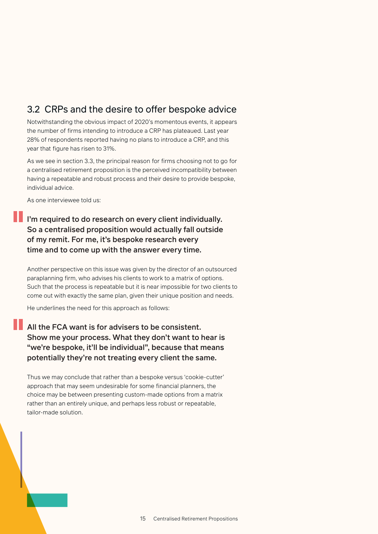## 3.2 CRPs and the desire to offer bespoke advice

Notwithstanding the obvious impact of 2020's momentous events, it appears the number of firms intending to introduce a CRP has plateaued. Last year 28% of respondents reported having no plans to introduce a CRP, and this year that figure has risen to 31%.

As we see in section 3.3, the principal reason for firms choosing not to go for a centralised retirement proposition is the perceived incompatibility between having a repeatable and robust process and their desire to provide bespoke, individual advice.

As one interviewee told us:

II

II

### I'm required to do research on every client individually. So a centralised proposition would actually fall outside of my remit. For me, it's bespoke research every time and to come up with the answer every time.

Another perspective on this issue was given by the director of an outsourced paraplanning firm, who advises his clients to work to a matrix of options. Such that the process is repeatable but it is near impossible for two clients to come out with exactly the same plan, given their unique position and needs.

He underlines the need for this approach as follows:

### All the FCA want is for advisers to be consistent. Show me your process. What they don't want to hear is "we're bespoke, it'll be individual", because that means potentially they're not treating every client the same.

Thus we may conclude that rather than a bespoke versus 'cookie-cutter' approach that may seem undesirable for some financial planners, the choice may be between presenting custom-made options from a matrix rather than an entirely unique, and perhaps less robust or repeatable, tailor-made solution.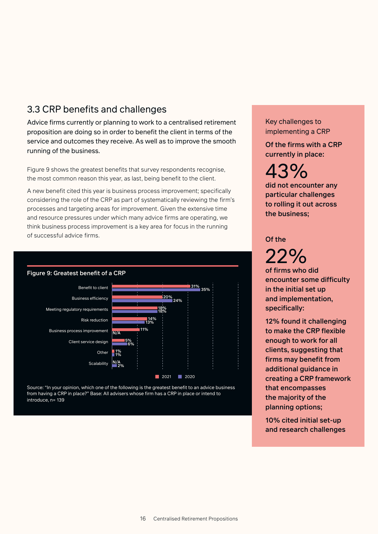## 3.3 CRP benefits and challenges

Advice firms currently or planning to work to a centralised retirement proposition are doing so in order to benefit the client in terms of the service and outcomes they receive. As well as to improve the smooth running of the business.

Figure 9 shows the greatest benefits that survey respondents recognise, the most common reason this year, as last, being benefit to the client.

A new benefit cited this year is business process improvement; specifically considering the role of the CRP as part of systematically reviewing the firm's processes and targeting areas for improvement. Given the extensive time and resource pressures under which many advice firms are operating, we think business process improvement is a key area for focus in the running of successful advice firms.



Source: "In your opinion, which one of the following is the greatest benefit to an advice business from having a CRP in place?" Base: All advisers whose firm has a CRP in place or intend to introduce, n= 139

Key challenges to implementing a CRP

Of the firms with a CRP currently in place:

43% did not encounter any particular challenges to rolling it out across the business;

## Of the 22%

of firms who did encounter some difficulty in the initial set up and implementation, specifically:

12% found it challenging to make the CRP flexible enough to work for all clients, suggesting that firms may benefit from additional guidance in creating a CRP framework that encompasses the majority of the planning options;

10% cited initial set-up and research challenges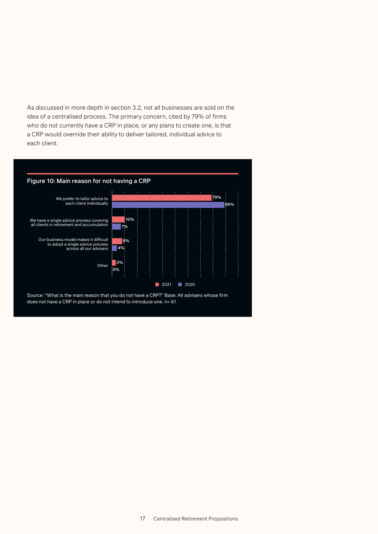As discussed in more depth in section 3.2, not all businesses are sold on the idea of a centralised process. The primary concern, cited by 79% of firms who do not currently have a CRP in place, or any plans to create one, is that a CRP would override their ability to deliver tailored, individual advice to each client.

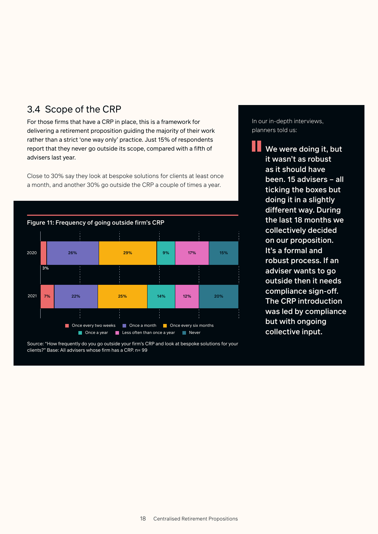## 3.4 Scope of the CRP

For those firms that have a CRP in place, this is a framework for delivering a retirement proposition guiding the majority of their work rather than a strict 'one way only' practice. Just 15% of respondents report that they never go outside its scope, compared with a fifth of advisers last year.

Close to 30% say they look at bespoke solutions for clients at least once a month, and another 30% go outside the CRP a couple of times a year.



Source: "How frequently do you go outside your firm's CRP and look at bespoke solutions for your clients?" Base: All advisers whose firm has a CRP. n= 99

In our in-depth interviews, planners told us:

> We were doing it, but it wasn't as robust as it should have been. 15 advisers – all ticking the boxes but doing it in a slightly different way. During the last 18 months we collectively decided on our proposition. It's a formal and robust process. If an adviser wants to go outside then it needs compliance sign-off. The CRP introduction was led by compliance but with ongoing collective input.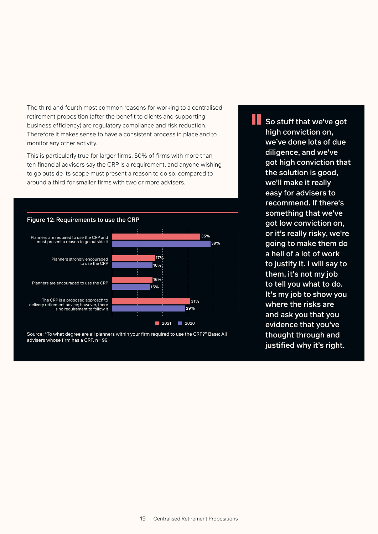The third and fourth most common reasons for working to a centralised retirement proposition (after the benefit to clients and supporting business efficiency) are regulatory compliance and risk reduction. Therefore it makes sense to have a consistent process in place and to monitor any other activity.

This is particularly true for larger firms. 50% of firms with more than ten financial advisers say the CRP is a requirement, and anyone wishing to go outside its scope must present a reason to do so, compared to around a third for smaller firms with two or more advisers.



Source: "To what degree are all planners within your firm required to use the CRP?" Base: All advisers whose firm has a CRP. n= 99

So stuff that we've got high conviction on, we've done lots of due diligence, and we've got high conviction that the solution is good, we'll make it really easy for advisers to recommend. If there's something that we've got low conviction on, or it's really risky, we're going to make them do a hell of a lot of work to justify it. I will say to them, it's not my job to tell you what to do. It's my job to show you where the risks are and ask you that you evidence that you've thought through and justified why it's right.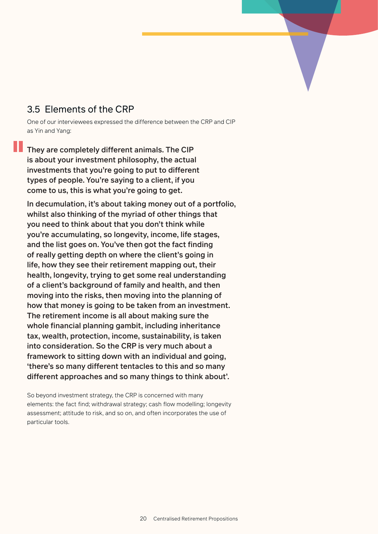## 3.5 Elements of the CRP

One of our interviewees expressed the difference between the CRP and CIP as Yin and Yang:

They are completely different animals. The CIP is about your investment philosophy, the actual investments that you're going to put to different types of people. You're saying to a client, if you come to us, this is what you're going to get.  $\mathbb I$ 

In decumulation, it's about taking money out of a portfolio, whilst also thinking of the myriad of other things that you need to think about that you don't think while you're accumulating, so longevity, income, life stages, and the list goes on. You've then got the fact finding of really getting depth on where the client's going in life, how they see their retirement mapping out, their health, longevity, trying to get some real understanding of a client's background of family and health, and then moving into the risks, then moving into the planning of how that money is going to be taken from an investment. The retirement income is all about making sure the whole financial planning gambit, including inheritance tax, wealth, protection, income, sustainability, is taken into consideration. So the CRP is very much about a framework to sitting down with an individual and going, 'there's so many different tentacles to this and so many different approaches and so many things to think about'.

So beyond investment strategy, the CRP is concerned with many elements: the fact find; withdrawal strategy; cash flow modelling; longevity assessment; attitude to risk, and so on, and often incorporates the use of particular tools.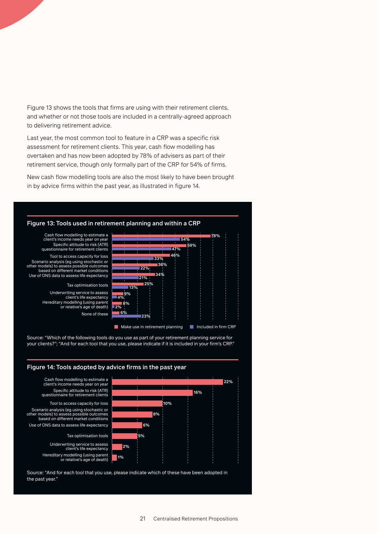Figure 13 shows the tools that firms are using with their retirement clients, and whether or not those tools are included in a centrally-agreed approach to delivering retirement advice.

Last year, the most common tool to feature in a CRP was a specific risk assessment for retirement clients. This year, cash flow modelling has overtaken and has now been adopted by 78% of advisers as part of their retirement service, though only formally part of the CRP for 54% of firms.

New cash flow modelling tools are also the most likely to have been brought in by advice firms within the past year, as illustrated in figure 14.



Figure 14: Tools adopted by advice firms in the past year

Cash flow modelling to estimate a client's income needs year on year Specific attitude to risk (ATR) questionnaire for retirement clients

Tool to access capacity for loss Scenario analysis (eg using stochastic or other models) to assess possible outcomes based on different market conditions Use of ONS data to assess life expectancy

Tax optimisation tools

Underwriting service to assess client's life expectancy Hereditary modelling (using parent or relative's age of death)

22% 16% 10% 8% 6% 5% 2% 1%

Source: "And for each tool that you use, please indicate which of these have been adopted in the past year."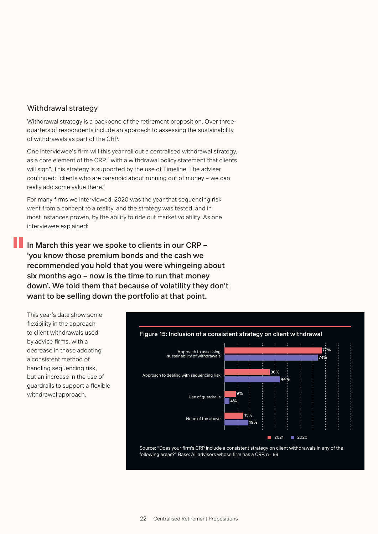#### Withdrawal strategy

Withdrawal strategy is a backbone of the retirement proposition. Over threequarters of respondents include an approach to assessing the sustainability of withdrawals as part of the CRP.

One interviewee's firm will this year roll out a centralised withdrawal strategy, as a core element of the CRP, "with a withdrawal policy statement that clients will sign". This strategy is supported by the use of Timeline. The adviser continued: "clients who are paranoid about running out of money – we can really add some value there."

For many firms we interviewed, 2020 was the year that sequencing risk went from a concept to a reality, and the strategy was tested, and in most instances proven, by the ability to ride out market volatility. As one interviewee explained:

In March this year we spoke to clients in our CRP – 'you know those premium bonds and the cash we recommended you hold that you were whingeing about six months ago – now is the time to run that money down'. We told them that because of volatility they don't want to be selling down the portfolio at that point. II

This year's data show some flexibility in the approach to client withdrawals used by advice firms, with a decrease in those adopting a consistent method of handling sequencing risk, but an increase in the use of guardrails to support a flexible withdrawal approach.



Source: "Does your firm's CRP include a consistent strategy on client withdrawals in any of the following areas?" Base: All advisers whose firm has a CRP. n= 99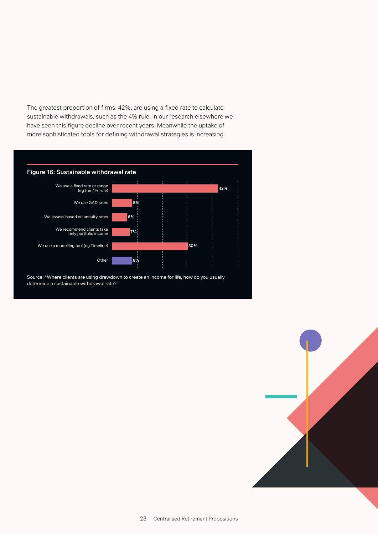The greatest proportion of firms, 42%, are using a fixed rate to calculate sustainable withdrawals, such as the 4% rule. In our research elsewhere we have seen this figure decline over recent years. Meanwhile the uptake of more sophisticated tools for defining withdrawal strategies is increasing.



determine a sustainable withdrawal rate?"

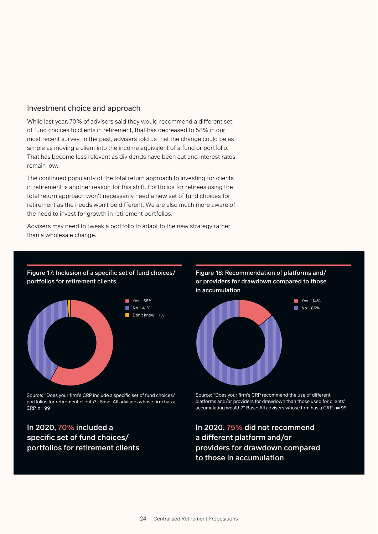#### Investment choice and approach

While last year, 70% of advisers said they would recommend a different set of fund choices to clients in retirement, that has decreased to 58% in our most recent survey. In the past, advisers told us that the change could be as simple as moving a client into the income equivalent of a fund or portfolio. That has become less relevant as dividends have been cut and interest rates remain low.

The continued popularity of the total return approach to investing for clients in retirement is another reason for this shift. Portfolios for retirees using the total return approach won't necessarily need a new set of fund choices for retirement as the needs won't be different. We are also much more aware of the need to invest for growth in retirement portfolios.

Advisers may need to tweak a portfolio to adapt to the new strategy rather than a wholesale change.

#### Figure 17: Inclusion of a specific set of fund choices/ portfolios for retirement clients



Source: "Does your firm's CRP include a specific set of fund choices/ portfolios for retirement clients?" Base: All advisers whose firm has a CRP. n= 99

### In 2020, 70% included a specific set of fund choices/ portfolios for retirement clients

#### Figure 18: Recommendation of platforms and/ or providers for drawdown compared to those in accumulation



Source: "Does your firm's CRP recommend the use of different platforms and/or providers for drawdown than those used for clients' accumulating wealth?" Base: All advisers whose firm has a CRP. n= 99

In 2020, 75% did not recommend a different platform and/or providers for drawdown compared to those in accumulation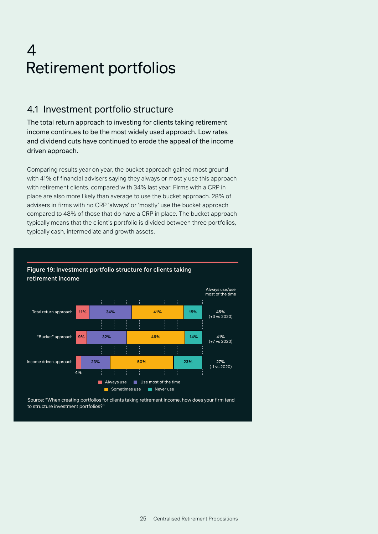## <span id="page-24-0"></span> 4 Retirement portfolios

## 4.1 Investment portfolio structure

The total return approach to investing for clients taking retirement income continues to be the most widely used approach. Low rates and dividend cuts have continued to erode the appeal of the income driven approach.

Comparing results year on year, the bucket approach gained most ground with 41% of financial advisers saying they always or mostly use this approach with retirement clients, compared with 34% last year. Firms with a CRP in place are also more likely than average to use the bucket approach. 28% of advisers in firms with no CRP 'always' or 'mostly' use the bucket approach compared to 48% of those that do have a CRP in place. The bucket approach typically means that the client's portfolio is divided between three portfolios, typically cash, intermediate and growth assets.



Source: "When creating portfolios for clients taking retirement income, how does your firm tend to structure investment portfolios?"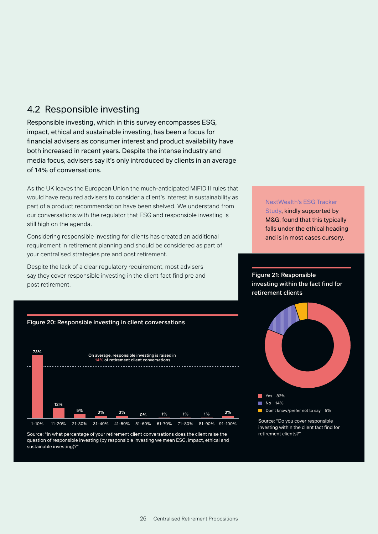## 4.2 Responsible investing

Responsible investing, which in this survey encompasses ESG, impact, ethical and sustainable investing, has been a focus for financial advisers as consumer interest and product availability have both increased in recent years. Despite the intense industry and media focus, advisers say it's only introduced by clients in an average of 14% of conversations.

As the UK leaves the European Union the much-anticipated MiFID II rules that would have required advisers to consider a client's interest in sustainability as part of a product recommendation have been shelved. We understand from our conversations with the regulator that ESG and responsible investing is still high on the agenda.

Considering responsible investing for clients has created an additional requirement in retirement planning and should be considered as part of your centralised strategies pre and post retirement.

Despite the lack of a clear regulatory requirement, most advisers say they cover responsible investing in the client fact find pre and post retirement.

## Figure 20: Responsible investing in client conversations 1–10% 11–20% 21–30% 31–40% 41–50% 51–60% 61–70% 71–80% 81–90% 91–100% 1% 1% 1% 3% 0% 3% 3% On average, responsible investing is raised in 14% of retirement client conversations 5% 12% 73%

Source: "In what percentage of your retirement client conversations does the client raise the question of responsible investing (by responsible investing we mean ESG, impact, ethical and sustainable investing)?"

#### [NextWealth's ESG Tracker](https://www.nextwealth.co.uk/esg-tracking-2020/)

[Study](https://www.nextwealth.co.uk/esg-tracking-2020/), kindly supported by M&G, found that this typically falls under the ethical heading and is in most cases cursory.

#### Figure 21: Responsible investing within the fact find for retirement clients



Don't know/prefer not to say 5%

Source: "Do you cover responsible investing within the client fact find for retirement clients?"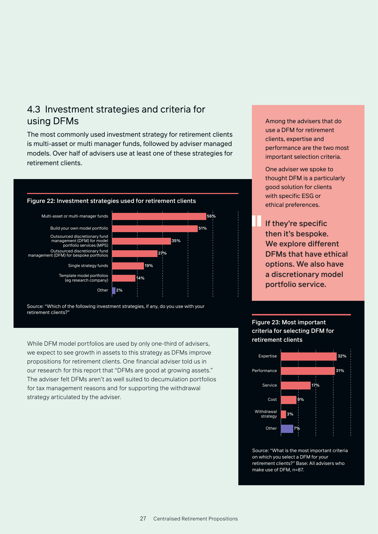## 4.3 Investment strategies and criteria for using DFMs

The most commonly used investment strategy for retirement clients is multi-asset or multi manager funds, followed by adviser managed models. Over half of advisers use at least one of these strategies for retirement clients.

#### Figure 22: Investment strategies used for retirement clients

Build your own model portfolio Outsourced discretionary fund management (DFM) for model portfolio services (MPS) Outsourced discretionary fund management (DFM) for bespoke portfolios



Source: "Which of the following investment strategies, if any, do you use with your retirement clients?"

While DFM model portfolios are used by only one-third of advisers, we expect to see growth in assets to this strategy as DFMs improve propositions for retirement clients. One financial adviser told us in our research for this report that "DFMs are good at growing assets." The adviser felt DFMs aren't as well suited to decumulation portfolios for tax management reasons and for supporting the withdrawal strategy articulated by the adviser.

Among the advisers that do use a DFM for retirement clients, expertise and performance are the two most important selection criteria.

One adviser we spoke to thought DFM is a particularly good solution for clients with specific ESG or ethical preferences.

If they're specific then it's bespoke. We explore different DFMs that have ethical options. We also have a discretionary model portfolio service.

#### Figure 23: Most important criteria for selecting DFM for retirement clients



Source: "What is the most important criteria on which you select a DFM for your retirement clients?" Base: All advisers who make use of DFM, n=87.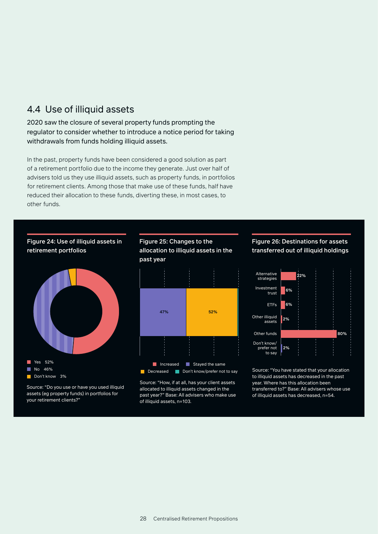## 4.4 Use of illiquid assets

2020 saw the closure of several property funds prompting the regulator to consider whether to introduce a notice period for taking withdrawals from funds holding illiquid assets.

In the past, property funds have been considered a good solution as part of a retirement portfolio due to the income they generate. Just over half of advisers told us they use illiquid assets, such as property funds, in portfolios for retirement clients. Among those that make use of these funds, half have reduced their allocation to these funds, diverting these, in most cases, to other funds.

#### Figure 24: Use of illiquid assets in retirement portfolios



Source: "Do you use or have you used illiquid assets (eg property funds) in portfolios for your retirement clients?"

#### Figure 25: Changes to the allocation to illiquid assets in the past year



Source: "How, if at all, has your client assets allocated to illiquid assets changed in the past year?" Base: All advisers who make use of illiquid assets, n=103.

#### Figure 26: Destinations for assets transferred out of illiquid holdings



Source: "You have stated that your allocation to illiquid assets has decreased in the past year. Where has this allocation been transferred to?" Base: All advisers whose use of illiquid assets has decreased, n=54.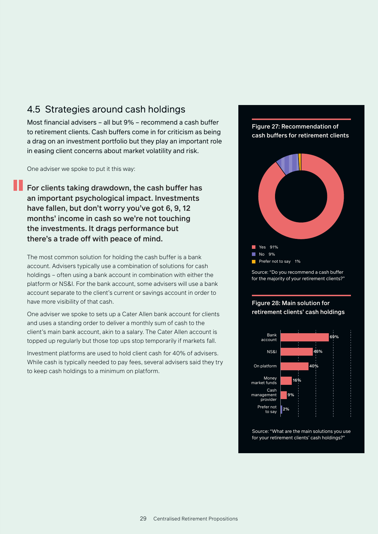## 4.5 Strategies around cash holdings

Most financial advisers – all but 9% – recommend a cash buffer to retirement clients. Cash buffers come in for criticism as being a drag on an investment portfolio but they play an important role in easing client concerns about market volatility and risk.

One adviser we spoke to put it this way:

**For clients taking drawdown, the cash buffer has** an important psychological impact. Investments have fallen, but don't worry you've got 6, 9, 12 months' income in cash so we're not touching the investments. It drags performance but there's a trade off with peace of mind.

The most common solution for holding the cash buffer is a bank account. Advisers typically use a combination of solutions for cash holdings – often using a bank account in combination with either the platform or NS&I. For the bank account, some advisers will use a bank account separate to the client's current or savings account in order to have more visibility of that cash.

One adviser we spoke to sets up a Cater Allen bank account for clients and uses a standing order to deliver a monthly sum of cash to the client's main bank account, akin to a salary. The Cater Allen account is topped up regularly but those top ups stop temporarily if markets fall.

Investment platforms are used to hold client cash for 40% of advisers. While cash is typically needed to pay fees, several advisers said they try to keep cash holdings to a minimum on platform.

#### Figure 27: Recommendation of cash buffers for retirement clients



Source: "Do you recommend a cash buffer for the majority of your retirement clients?"

#### Figure 28: Main solution for retirement clients' cash holdings



Source: "What are the main solutions you use for your retirement clients' cash holdings?"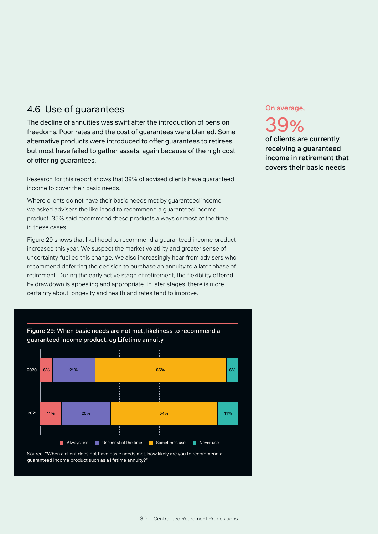## 4.6 Use of guarantees

The decline of annuities was swift after the introduction of pension freedoms. Poor rates and the cost of guarantees were blamed. Some alternative products were introduced to offer guarantees to retirees, but most have failed to gather assets, again because of the high cost of offering guarantees.

Research for this report shows that 39% of advised clients have guaranteed income to cover their basic needs.

Where clients do not have their basic needs met by quaranteed income, we asked advisers the likelihood to recommend a guaranteed income product. 35% said recommend these products always or most of the time in these cases.

Figure 29 shows that likelihood to recommend a guaranteed income product increased this year. We suspect the market volatility and greater sense of uncertainty fuelled this change. We also increasingly hear from advisers who recommend deferring the decision to purchase an annuity to a later phase of retirement. During the early active stage of retirement, the flexibility offered by drawdown is appealing and appropriate. In later stages, there is more certainty about longevity and health and rates tend to improve.



Source: "When a client does not have basic needs met, how likely are you to recommend a guaranteed income product such as a lifetime annuity?"

On average,

39% of clients are currently receiving a guaranteed income in retirement that covers their basic needs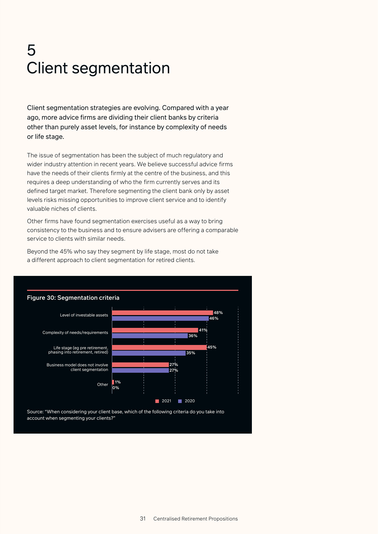## <span id="page-30-0"></span> 5 Client segmentation

Client segmentation strategies are evolving. Compared with a year ago, more advice firms are dividing their client banks by criteria other than purely asset levels, for instance by complexity of needs or life stage.

The issue of segmentation has been the subject of much regulatory and wider industry attention in recent years. We believe successful advice firms have the needs of their clients firmly at the centre of the business, and this requires a deep understanding of who the firm currently serves and its defined target market. Therefore segmenting the client bank only by asset levels risks missing opportunities to improve client service and to identify valuable niches of clients.

Other firms have found segmentation exercises useful as a way to bring consistency to the business and to ensure advisers are offering a comparable service to clients with similar needs.



Beyond the 45% who say they segment by life stage, most do not take a different approach to client segmentation for retired clients.

Source: "When considering your client base, which of the following criteria do you take into account when segmenting your clients?"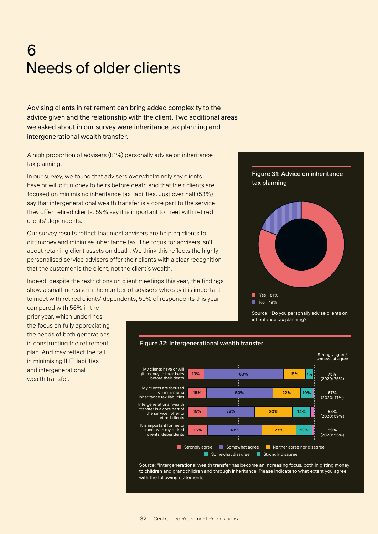## <span id="page-31-0"></span> 6 Needs of older clients

Advising clients in retirement can bring added complexity to the advice given and the relationship with the client. Two additional areas we asked about in our survey were inheritance tax planning and intergenerational wealth transfer.

A high proportion of advisers (81%) personally advise on inheritance tax planning.

In our survey, we found that advisers overwhelmingly say clients have or will gift money to heirs before death and that their clients are focused on minimising inheritance tax liabilities. Just over half (53%) say that intergenerational wealth transfer is a core part to the service they offer retired clients. 59% say it is important to meet with retired clients' dependents.

Our survey results reflect that most advisers are helping clients to gift money and minimise inheritance tax. The focus for advisers isn't about retaining client assets on death. We think this reflects the highly personalised service advisers offer their clients with a clear recognition that the customer is the client, not the client's wealth.

Indeed, despite the restrictions on client meetings this year, the findings show a small increase in the number of advisers who say it is important to meet with retired clients' dependents; 59% of respondents this year compared with 56% in the

prior year, which underlines the focus on fully appreciating the needs of both generations in constructing the retirement plan. And may reflect the fall in minimising IHT liabilities and intergenerational wealth transfer.



Source: "Intergenerational wealth transfer has become an increasing focus, both in gifting money to children and grandchildren and through inheritance. Please indicate to what extent you agree with the following statements."





Source: "Do you personally advise clients on inheritance tax planning?"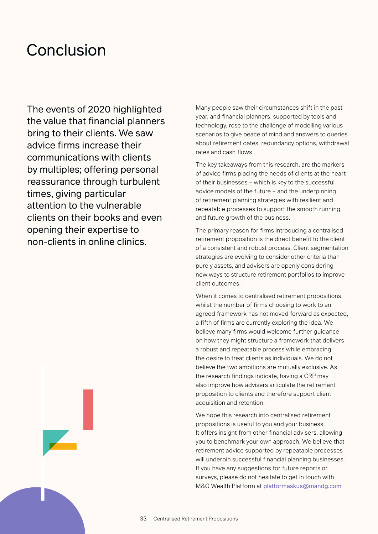## <span id="page-32-0"></span>**Conclusion**

The events of 2020 highlighted the value that financial planners bring to their clients. We saw advice firms increase their communications with clients by multiples; offering personal reassurance through turbulent times, giving particular attention to the vulnerable clients on their books and even opening their expertise to non-clients in online clinics.

Many people saw their circumstances shift in the past year, and financial planners, supported by tools and technology, rose to the challenge of modelling various scenarios to give peace of mind and answers to queries about retirement dates, redundancy options, withdrawal rates and cash flows.

The key takeaways from this research, are the markers of advice firms placing the needs of clients at the heart of their businesses – which is key to the successful advice models of the future – and the underpinning of retirement planning strategies with resilient and repeatable processes to support the smooth running and future growth of the business.

The primary reason for firms introducing a centralised retirement proposition is the direct benefit to the client of a consistent and robust process. Client segmentation strategies are evolving to consider other criteria than purely assets, and advisers are openly considering new ways to structure retirement portfolios to improve client outcomes.

When it comes to centralised retirement propositions, whilst the number of firms choosing to work to an agreed framework has not moved forward as expected, a fifth of firms are currently exploring the idea. We believe many firms would welcome further guidance on how they might structure a framework that delivers a robust and repeatable process while embracing the desire to treat clients as individuals. We do not believe the two ambitions are mutually exclusive. As the research findings indicate, having a CRP may also improve how advisers articulate the retirement proposition to clients and therefore support client acquisition and retention.

We hope this research into centralised retirement propositions is useful to you and your business. It offers insight from other financial advisers, allowing you to benchmark your own approach. We believe that retirement advice supported by repeatable processes will underpin successful financial planning businesses. If you have any suggestions for future reports or surveys, please do not hesitate to get in touch with M&G Wealth Platform at [platformaskus@mandg.com](mailto:platformaskus%40mandg.com?subject=)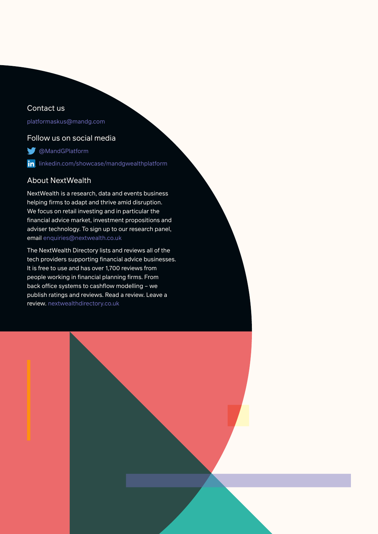#### Contact us

[platformaskus@mandg.com](mailto:platformaskus%40mandg.com?subject=)

### Follow us on social media

- @MandGPlatform
- in [linkedin.com/showcase/mandgwealthplatform](https://linkedin.com/showcase/mandgwealthplatform)

### About NextWealth

NextWealth is a research, data and events business helping firms to adapt and thrive amid disruption. We focus on retail investing and in particular the financial advice market, investment propositions and adviser technology. To sign up to our research panel, email [enquiries@nextwealth.co.uk](mailto:enquiries%40nextwealth.co.uk?subject=)

The NextWealth Directory lists and reviews all of the tech providers supporting financial advice businesses. It is free to use and has over 1,700 reviews from people working in financial planning firms. From back office systems to cashflow modelling – we publish ratings and reviews. Read a review. Leave a review. [nextwealthdirectory.co.uk](https://nextwealthdirectory.co.uk)